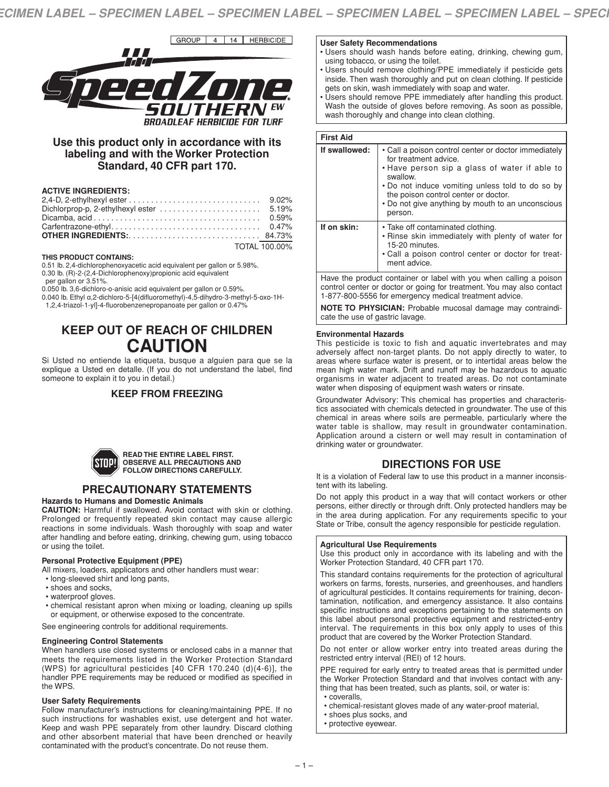

# **Use this product only in accordance with its labeling and with the Worker Protection Standard, 40 CFR part 170.**

# **ACTIVE INGREDIENTS:**

| TOTAL 100.00% |
|---------------|

#### **THIS PRODUCT CONTAINS:**

0.51 lb. 2,4-dichlorophenoxyacetic acid equivalent per gallon or 5.98%. 0.30 lb. (R)-2-(2,4-Dichlorophenoxy)propionic acid equivalent

per gallon or 3.51%.

0.050 lb. 3,6-dichloro-o-anisic acid equivalent per gallon or 0.59%.

0.040 lb. Ethyl α,2-dichloro-5-[4(difluoromethyl)-4,5-dihydro-3-methyl-5-oxo-1H-

1,2,4-triazol-1-yl]-4-fluorobenzenepropanoate per gallon or 0.47%

# **KEEP OUT OF REACH OF CHILDREN CAUTION**

Si Usted no entiende la etiqueta, busque a alguien para que se la explique a Usted en detalle. (If you do not understand the label, find someone to explain it to you in detail.)

# **KEEP FROM FREEZING**



#### **READ THE ENTIRE LABEL FIRST. OBSERVE ALL PRECAUTIONS AND FOLLOW DIRECTIONS CAREFULLY.**

# **PRECAUTIONARY STATEMENTS**

# **Hazards to Humans and Domestic Animals**

**CAUTION:** Harmful if swallowed. Avoid contact with skin or clothing. Prolonged or frequently repeated skin contact may cause allergic reactions in some individuals. Wash thoroughly with soap and water after handling and before eating, drinking, chewing gum, using tobacco or using the toilet.

## **Personal Protective Equipment (PPE)**

All mixers, loaders, applicators and other handlers must wear:

- long-sleeved shirt and long pants,
- shoes and socks,
- waterproof gloves.
- chemical resistant apron when mixing or loading, cleaning up spills or equipment, or otherwise exposed to the concentrate.

See engineering controls for additional requirements.

## **Engineering Control Statements**

When handlers use closed systems or enclosed cabs in a manner that meets the requirements listed in the Worker Protection Standard (WPS) for agricultural pesticides [40 CFR 170.240 (d)(4-6)], the handler PPE requirements may be reduced or modified as specified in the WPS.

## **User Safety Requirements**

Follow manufacturer's instructions for cleaning/maintaining PPE. If no such instructions for washables exist, use detergent and hot water. Keep and wash PPE separately from other laundry. Discard clothing and other absorbent material that have been drenched or heavily contaminated with the product's concentrate. Do not reuse them.

### **User Safety Recommendations**

- Users should wash hands before eating, drinking, chewing gum, using tobacco, or using the toilet.
- Users should remove clothing/PPE immediately if pesticide gets inside. Then wash thoroughly and put on clean clothing. If pesticide gets on skin, wash immediately with soap and water.
- Users should remove PPE immediately after handling this product. Wash the outside of gloves before removing. As soon as possible, wash thoroughly and change into clean clothing.

| <b>First Aid</b> |                                                                                                                                                                                                                                                                                                        |
|------------------|--------------------------------------------------------------------------------------------------------------------------------------------------------------------------------------------------------------------------------------------------------------------------------------------------------|
| If swallowed:    | • Call a poison control center or doctor immediately<br>for treatment advice.<br>• Have person sip a glass of water if able to<br>swallow.<br>• Do not induce vomiting unless told to do so by<br>the poison control center or doctor.<br>• Do not give anything by mouth to an unconscious<br>person. |
| If on skin:      | • Take off contaminated clothing.<br>• Rinse skin immediately with plenty of water for<br>15-20 minutes.<br>• Call a poison control center or doctor for treat-<br>ment advice.                                                                                                                        |
|                  | Have the product container or label with you when calling a poison                                                                                                                                                                                                                                     |

Have the product container or label with you when calling a poison control center or doctor or going for treatment. You may also contact 1-877-800-5556 for emergency medical treatment advice.

**NOTE TO PHYSICIAN:** Probable mucosal damage may contraindicate the use of gastric lavage.

## **Environmental Hazards**

This pesticide is toxic to fish and aquatic invertebrates and may adversely affect non-target plants. Do not apply directly to water, to areas where surface water is present, or to intertidal areas below the mean high water mark. Drift and runoff may be hazardous to aquatic organisms in water adjacent to treated areas. Do not contaminate water when disposing of equipment wash waters or rinsate.

Groundwater Advisory: This chemical has properties and characteristics associated with chemicals detected in groundwater. The use of this chemical in areas where soils are permeable, particularly where the water table is shallow, may result in groundwater contamination. Application around a cistern or well may result in contamination of drinking water or groundwater.

# **DIRECTIONS FOR USE**

It is a violation of Federal law to use this product in a manner inconsistent with its labeling.

Do not apply this product in a way that will contact workers or other persons, either directly or through drift. Only protected handlers may be in the area during application. For any requirements specific to your State or Tribe, consult the agency responsible for pesticide regulation.

## **Agricultural Use Requirements**

Use this product only in accordance with its labeling and with the Worker Protection Standard, 40 CFR part 170.

This standard contains requirements for the protection of agricultural workers on farms, forests, nurseries, and greenhouses, and handlers of agricultural pesticides. It contains requirements for training, decontamination, notification, and emergency assistance. It also contains specific instructions and exceptions pertaining to the statements on this label about personal protective equipment and restricted-entry interval. The requirements in this box only apply to uses of this product that are covered by the Worker Protection Standard.

Do not enter or allow worker entry into treated areas during the restricted entry interval (REI) of 12 hours.

PPE required for early entry to treated areas that is permitted under the Worker Protection Standard and that involves contact with anything that has been treated, such as plants, soil, or water is: • coveralls,

- chemical-resistant gloves made of any water-proof material,
- shoes plus socks, and
- protective eyewear.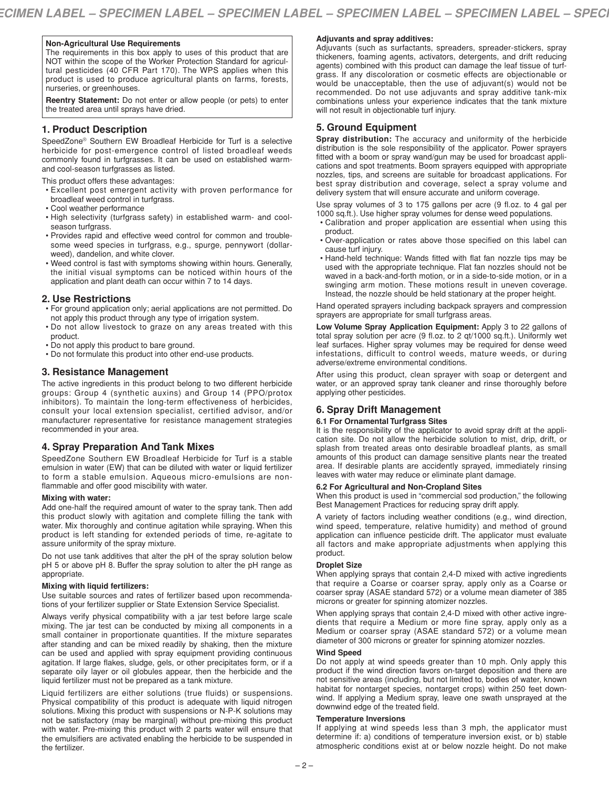# **Non-Agricultural Use Requirements**

The requirements in this box apply to uses of this product that are NOT within the scope of the Worker Protection Standard for agricultural pesticides (40 CFR Part 170). The WPS applies when this product is used to produce agricultural plants on farms, forests, nurseries, or greenhouses.

**Reentry Statement:** Do not enter or allow people (or pets) to enter the treated area until sprays have dried.

## **1. Product Description**

SpeedZone® Southern EW Broadleaf Herbicide for Turf is a selective herbicide for post-emergence control of listed broadleaf weeds commonly found in turfgrasses. It can be used on established warmand cool-season turfgrasses as listed.

This product offers these advantages:

- Excellent post emergent activity with proven performance for broadleaf weed control in turfgrass.
- Cool weather performance
- High selectivity (turfgrass safety) in established warm- and coolseason turfgrass.
- Provides rapid and effective weed control for common and troublesome weed species in turfgrass, e.g., spurge, pennywort (dollarweed), dandelion, and white clover.
- Weed control is fast with symptoms showing within hours. Generally, the initial visual symptoms can be noticed within hours of the application and plant death can occur within 7 to 14 days.

## **2. Use Restrictions**

- For ground application only; aerial applications are not permitted. Do not apply this product through any type of irrigation system.
- Do not allow livestock to graze on any areas treated with this product.
- Do not apply this product to bare ground.
- Do not formulate this product into other end-use products.

# **3. Resistance Management**

The active ingredients in this product belong to two different herbicide groups: Group 4 (synthetic auxins) and Group 14 (PPO/protox inhibitors). To maintain the long-term effectiveness of herbicides, consult your local extension specialist, certified advisor, and/or manufacturer representative for resistance management strategies recommended in your area.

# **4. Spray Preparation And Tank Mixes**

SpeedZone Southern EW Broadleaf Herbicide for Turf is a stable emulsion in water (EW) that can be diluted with water or liquid fertilizer to form a stable emulsion. Aqueous micro-emulsions are nonflammable and offer good miscibility with water.

#### **Mixing with water:**

Add one-half the required amount of water to the spray tank. Then add this product slowly with agitation and complete filling the tank with water. Mix thoroughly and continue agitation while spraying. When this product is left standing for extended periods of time, re-agitate to assure uniformity of the spray mixture.

Do not use tank additives that alter the pH of the spray solution below pH 5 or above pH 8. Buffer the spray solution to alter the pH range as appropriate.

#### **Mixing with liquid fertilizers:**

Use suitable sources and rates of fertilizer based upon recommendations of your fertilizer supplier or State Extension Service Specialist.

Always verify physical compatibility with a jar test before large scale mixing. The jar test can be conducted by mixing all components in a small container in proportionate quantities. If the mixture separates after standing and can be mixed readily by shaking, then the mixture can be used and applied with spray equipment providing continuous agitation. If large flakes, sludge, gels, or other precipitates form, or if a separate oily layer or oil globules appear, then the herbicide and the liquid fertilizer must not be prepared as a tank mixture.

Liquid fertilizers are either solutions (true fluids) or suspensions. Physical compatibility of this product is adequate with liquid nitrogen solutions. Mixing this product with suspensions or N-P-K solutions may not be satisfactory (may be marginal) without pre-mixing this product with water. Pre-mixing this product with 2 parts water will ensure that the emulsifiers are activated enabling the herbicide to be suspended in the fertilizer.

## **Adjuvants and spray additives:**

Adjuvants (such as surfactants, spreaders, spreader-stickers, spray thickeners, foaming agents, activators, detergents, and drift reducing agents) combined with this product can damage the leaf tissue of turfgrass. If any discoloration or cosmetic effects are objectionable or would be unacceptable, then the use of adjuvant(s) would not be recommended. Do not use adjuvants and spray additive tank-mix combinations unless your experience indicates that the tank mixture will not result in objectionable turf injury.

# **5. Ground Equipment**

**Spray distribution:** The accuracy and uniformity of the herbicide distribution is the sole responsibility of the applicator. Power sprayers fitted with a boom or spray wand/gun may be used for broadcast applications and spot treatments. Boom sprayers equipped with appropriate nozzles, tips, and screens are suitable for broadcast applications. For best spray distribution and coverage, select a spray volume and delivery system that will ensure accurate and uniform coverage.

Use spray volumes of 3 to 175 gallons per acre (9 fl.oz. to 4 gal per 1000 sq.ft.). Use higher spray volumes for dense weed populations.

- Calibration and proper application are essential when using this product.
- Over-application or rates above those specified on this label can cause turf injury.
- Hand-held technique: Wands fitted with flat fan nozzle tips may be used with the appropriate technique. Flat fan nozzles should not be waved in a back-and-forth motion, or in a side-to-side motion, or in a swinging arm motion. These motions result in uneven coverage. Instead, the nozzle should be held stationary at the proper height.

Hand operated sprayers including backpack sprayers and compression sprayers are appropriate for small turfgrass areas.

**Low Volume Spray Application Equipment:** Apply 3 to 22 gallons of total spray solution per acre (9 fl.oz. to 2 qt/1000 sq.ft.). Uniformly wet leaf surfaces. Higher spray volumes may be required for dense weed infestations, difficult to control weeds, mature weeds, or during adverse/extreme environmental conditions.

After using this product, clean sprayer with soap or detergent and water, or an approved spray tank cleaner and rinse thoroughly before applying other pesticides.

# **6. Spray Drift Management**

## **6.1 For Ornamental Turfgrass Sites**

It is the responsibility of the applicator to avoid spray drift at the application site. Do not allow the herbicide solution to mist, drip, drift, or splash from treated areas onto desirable broadleaf plants, as small amounts of this product can damage sensitive plants near the treated area. If desirable plants are accidently sprayed, immediately rinsing leaves with water may reduce or eliminate plant damage.

## **6.2 For Agricultural and Non-Cropland Sites**

When this product is used in "commercial sod production," the following Best Management Practices for reducing spray drift apply.

A variety of factors including weather conditions (e.g., wind direction, wind speed, temperature, relative humidity) and method of ground application can influence pesticide drift. The applicator must evaluate all factors and make appropriate adjustments when applying this product.

#### **Droplet Size**

When applying sprays that contain 2,4-D mixed with active ingredients that require a Coarse or coarser spray, apply only as a Coarse or coarser spray (ASAE standard 572) or a volume mean diameter of 385 microns or greater for spinning atomizer nozzles.

When applying sprays that contain 2,4-D mixed with other active ingredients that require a Medium or more fine spray, apply only as a Medium or coarser spray (ASAE standard 572) or a volume mean diameter of 300 microns or greater for spinning atomizer nozzles.

# **Wind Speed**

Do not apply at wind speeds greater than 10 mph. Only apply this product if the wind direction favors on-target deposition and there are not sensitive areas (including, but not limited to, bodies of water, known habitat for nontarget species, nontarget crops) within 250 feet downwind. If applying a Medium spray, leave one swath unsprayed at the downwind edge of the treated field.

#### **Temperature Inversions**

If applying at wind speeds less than 3 mph, the applicator must determine if: a) conditions of temperature inversion exist, or b) stable atmospheric conditions exist at or below nozzle height. Do not make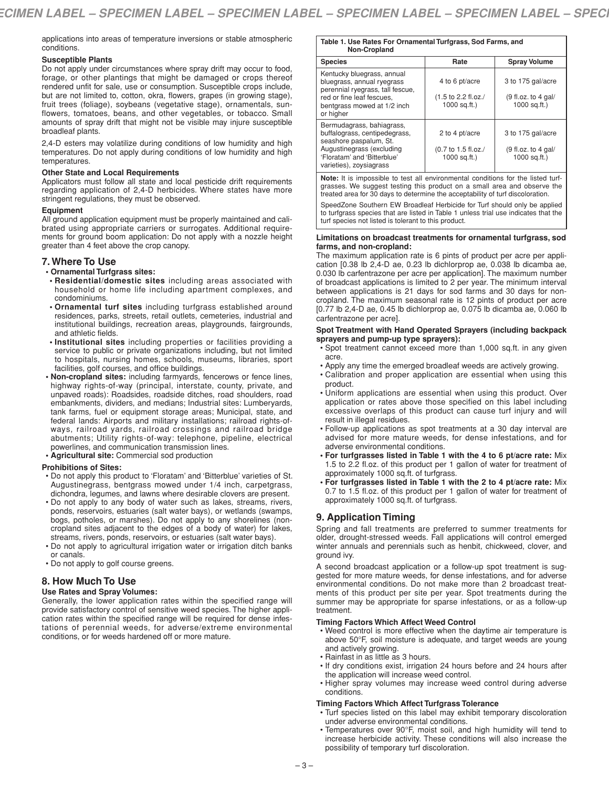applications into areas of temperature inversions or stable atmospheric conditions.

### **Susceptible Plants**

Do not apply under circumstances where spray drift may occur to food, forage, or other plantings that might be damaged or crops thereof rendered unfit for sale, use or consumption. Susceptible crops include, but are not limited to, cotton, okra, flowers, grapes (in growing stage), fruit trees (foliage), soybeans (vegetative stage), ornamentals, sunflowers, tomatoes, beans, and other vegetables, or tobacco. Small amounts of spray drift that might not be visible may injure susceptible broadleaf plants.

2,4-D esters may volatilize during conditions of low humidity and high temperatures. Do not apply during conditions of low humidity and high temperatures.

#### **Other State and Local Requirements**

Applicators must follow all state and local pesticide drift requirements regarding application of 2,4-D herbicides. Where states have more stringent regulations, they must be observed.

#### **Equipment**

All ground application equipment must be properly maintained and calibrated using appropriate carriers or surrogates. Additional requirements for ground boom application: Do not apply with a nozzle height greater than 4 feet above the crop canopy.

#### **7. Where To Use**

#### **• Ornamental Turfgrass sites:**

- **• Residential/domestic sites** including areas associated with household or home life including apartment complexes, and condominiums.
- **• Ornamental turf sites** including turfgrass established around residences, parks, streets, retail outlets, cemeteries, industrial and institutional buildings, recreation areas, playgrounds, fairgrounds, and athletic fields.
- **• Institutional sites** including properties or facilities providing a service to public or private organizations including, but not limited to hospitals, nursing homes, schools, museums, libraries, sport facilities, golf courses, and office buildings.
- **• Non-cropland sites:** including farmyards, fencerows or fence lines, highway rights-of-way (principal, interstate, county, private, and unpaved roads): Roadsides, roadside ditches, road shoulders, road embankments, dividers, and medians; Industrial sites: Lumberyards, tank farms, fuel or equipment storage areas; Municipal, state, and federal lands: Airports and military installations; railroad rights-ofways, railroad yards, railroad crossings and railroad bridge abutments; Utility rights-of-way: telephone, pipeline, electrical powerlines, and communication transmission lines.
- **• Agricultural site:** Commercial sod production

#### **Prohibitions of Sites:**

- Do not apply this product to 'Floratam' and 'Bitterblue' varieties of St. Augustinegrass, bentgrass mowed under 1/4 inch, carpetgrass, dichondra, legumes, and lawns where desirable clovers are present.
- Do not apply to any body of water such as lakes, streams, rivers, ponds, reservoirs, estuaries (salt water bays), or wetlands (swamps, bogs, potholes, or marshes). Do not apply to any shorelines (noncropland sites adjacent to the edges of a body of water) for lakes, streams, rivers, ponds, reservoirs, or estuaries (salt water bays).
- Do not apply to agricultural irrigation water or irrigation ditch banks or canals.
- Do not apply to golf course greens.

# **8. How Much To Use**

#### **Use Rates and Spray Volumes:**

Generally, the lower application rates within the specified range will provide satisfactory control of sensitive weed species. The higher application rates within the specified range will be required for dense infestations of perennial weeds, for adverse/extreme environmental conditions, or for weeds hardened off or more mature.

#### **Table 1. Use Rates For Ornamental Turfgrass, Sod Farms, and Non-Cropland**

| 11911 91910110                                                                                                                                                              |                                                                            |                                                              |
|-----------------------------------------------------------------------------------------------------------------------------------------------------------------------------|----------------------------------------------------------------------------|--------------------------------------------------------------|
| <b>Species</b>                                                                                                                                                              | Rate                                                                       | <b>Spray Volume</b>                                          |
| Kentucky bluegrass, annual<br>bluegrass, annual ryegrass<br>perennial ryegrass, tall fescue,<br>red or fine leaf fescues.<br>bentgrass mowed at 1/2 inch<br>or higher       | 4 to 6 pt/acre<br>$(1.5 \text{ to } 2.2 \text{ fl.oz.})$<br>$1000$ sq.ft.) | 3 to 175 gal/acre<br>$(9$ fl.oz. to 4 gal/<br>$1000$ sq.ft.) |
| Bermudagrass, bahiagrass,<br>buffalograss, centipedegrass,<br>seashore paspalum, St.<br>Augustinegrass (excluding<br>'Floratam' and 'Bitterblue'<br>varieties), zoysiagrass | 2 to 4 pt/acre<br>(0.7 to 1.5 fl.oz./<br>$1000$ sq.ft.)                    | 3 to 175 gal/acre<br>$(9$ fl.oz. to 4 gal/<br>$1000$ sq.ft.) |

**Note:** It is impossible to test all environmental conditions for the listed turfgrasses. We suggest testing this product on a small area and observe the treated area for 30 days to determine the acceptability of turf discoloration.

SpeedZone Southern EW Broadleaf Herbicide for Turf should only be applied to turfgrass species that are listed in Table 1 unless trial use indicates that the turf species not listed is tolerant to this product.

#### **Limitations on broadcast treatments for ornamental turfgrass, sod farms, and non-cropland:**

The maximum application rate is 6 pints of product per acre per application [0.38 lb 2,4-D ae, 0.23 lb dichlorprop ae, 0.038 lb dicamba ae, 0.030 lb carfentrazone per acre per application]. The maximum number of broadcast applications is limited to 2 per year. The minimum interval between applications is 21 days for sod farms and 30 days for noncropland. The maximum seasonal rate is 12 pints of product per acre [0.77 lb 2,4-D ae, 0.45 lb dichlorprop ae, 0.075 lb dicamba ae, 0.060 lb carfentrazone per acre].

#### **Spot Treatment with Hand Operated Sprayers (including backpack sprayers and pump-up type sprayers):**

- Spot treatment cannot exceed more than 1,000 sq.ft. in any given acre.
- Apply any time the emerged broadleaf weeds are actively growing.
- Calibration and proper application are essential when using this product.
- Uniform applications are essential when using this product. Over application or rates above those specified on this label including excessive overlaps of this product can cause turf injury and will result in illegal residues.
- Follow-up applications as spot treatments at a 30 day interval are advised for more mature weeds, for dense infestations, and for adverse environmental conditions.
- **• For turfgrasses listed in Table 1 with the 4 to 6 pt/acre rate:** Mix 1.5 to 2.2 fl.oz. of this product per 1 gallon of water for treatment of approximately 1000 sq.ft. of turfgrass.
- **• For turfgrasses listed in Table 1 with the 2 to 4 pt/acre rate:** Mix 0.7 to 1.5 fl.oz. of this product per 1 gallon of water for treatment of approximately 1000 sq.ft. of turfgrass.

# **9. Application Timing**

Spring and fall treatments are preferred to summer treatments for older, drought-stressed weeds. Fall applications will control emerged winter annuals and perennials such as henbit, chickweed, clover, and ground ivy.

A second broadcast application or a follow-up spot treatment is suggested for more mature weeds, for dense infestations, and for adverse environmental conditions. Do not make more than 2 broadcast treatments of this product per site per year. Spot treatments during the summer may be appropriate for sparse infestations, or as a follow-up treatment.

## **Timing Factors Which Affect Weed Control**

- Weed control is more effective when the daytime air temperature is above 50°F, soil moisture is adequate, and target weeds are young and actively growing.
- Rainfast in as little as 3 hours.
- If dry conditions exist, irrigation 24 hours before and 24 hours after the application will increase weed control.
- Higher spray volumes may increase weed control during adverse conditions.

# **Timing Factors Which Affect Turfgrass Tolerance**

- Turf species listed on this label may exhibit temporary discoloration under adverse environmental conditions.
- Temperatures over 90°F, moist soil, and high humidity will tend to increase herbicide activity. These conditions will also increase the possibility of temporary turf discoloration.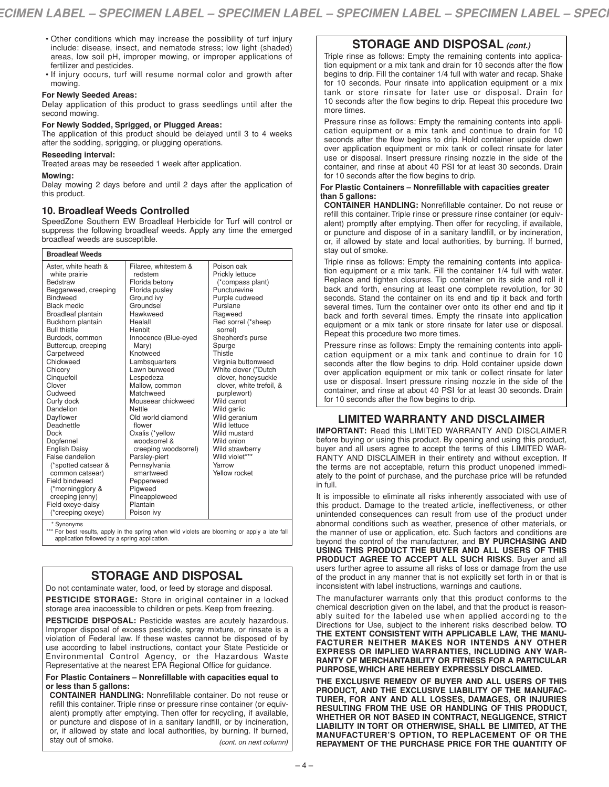- Other conditions which may increase the possibility of turf injury include: disease, insect, and nematode stress; low light (shaded) areas, low soil pH, improper mowing, or improper applications of fertilizer and pesticides.
- If injury occurs, turf will resume normal color and growth after mowing.

# **For Newly Seeded Areas:**

Delay application of this product to grass seedlings until after the second mowing.

## **For Newly Sodded, Sprigged, or Plugged Areas:**

The application of this product should be delayed until 3 to 4 weeks after the sodding, sprigging, or plugging operations.

## **Reseeding interval:**

Treated areas may be reseeded 1 week after application.

#### **Mowing:**

Delay mowing 2 days before and until 2 days after the application of this product.

# **10. Broadleaf Weeds Controlled**

SpeedZone Southern EW Broadleaf Herbicide for Turf will control or suppress the following broadleaf weeds. Apply any time the emerged broadleaf weeds are susceptible.

| Poison oak<br>Aster, white heath &<br>Filaree, whitestem &<br>redstem<br>Prickly lettuce<br>white prairie |                          |
|-----------------------------------------------------------------------------------------------------------|--------------------------|
|                                                                                                           |                          |
|                                                                                                           |                          |
| <b>Bedstraw</b><br>Florida betony<br>(*compass plant)                                                     |                          |
| Puncturevine<br>Beggarweed, creeping<br>Florida pusley                                                    |                          |
| <b>Bindweed</b><br>Ground ivy<br>Purple cudweed                                                           |                          |
| Groundsel<br>Purslane<br><b>Black medic</b>                                                               |                          |
| Hawkweed<br>Broadleaf plantain<br>Ragweed                                                                 |                          |
| Red sorrel (*sheep<br>Buckhorn plantain<br>Healall                                                        |                          |
| <b>Bull thistle</b><br>Henbit<br>sorrel)                                                                  |                          |
| Burdock, common<br>Innocence (Blue-eyed<br>Shepherd's purse                                               |                          |
| Buttercup, creeping<br>Mary)<br>Spurge                                                                    |                          |
| Carpetweed<br>Knotweed<br>Thistle                                                                         |                          |
| Chickweed<br>Lambsquarters<br>Virginia buttonweed                                                         |                          |
| Lawn burweed<br>White clover (*Dutch<br>Chicory                                                           |                          |
| Cinquefoil<br>Lespedeza                                                                                   | clover, honeysuckle      |
| Clover<br>Mallow, common                                                                                  | clover, white trefoil, & |
| Matchweed<br>Cudweed<br>purplewort)                                                                       |                          |
| Wild carrot<br>Curly dock<br>Mouseear chickweed                                                           |                          |
| Dandelion<br>Nettle<br>Wild garlic                                                                        |                          |
| Dayflower<br>Old world diamond<br>Wild geranium                                                           |                          |
| Wild lettuce<br>Deadnettle<br>flower                                                                      |                          |
| Wild mustard<br><b>Dock</b><br>Oxalis (*yellow                                                            |                          |
| woodsorrel &<br>Wild onion<br>Dogfennel                                                                   |                          |
| <b>English Daisy</b><br>Wild strawberry<br>creeping woodsorrel)                                           |                          |
| False dandelion<br>Wild violet***<br>Parsley-piert                                                        |                          |
| Yarrow<br>(*spotted catsear &<br>Pennsylvania                                                             |                          |
| smartweed<br>Yellow rocket<br>common catsear)                                                             |                          |
| Field bindweed<br>Pepperweed                                                                              |                          |
| (*morningglory &<br>Pigweed                                                                               |                          |
| Pineappleweed<br>creeping jenny)                                                                          |                          |
| Field oxeye-daisy<br>Plantain                                                                             |                          |
| (*creeping oxeye)<br>Poison ivy<br>$\bullet$ $\bullet$                                                    |                          |

svnonvms

\*\*\* For best results, apply in the spring when wild violets are blooming or apply a late fall<br>application followed by a spring application.

# **STORAGE AND DISPOSAL**

Do not contaminate water, food, or feed by storage and disposal.

**PESTICIDE STORAGE:** Store in original container in a locked storage area inaccessible to children or pets. Keep from freezing.

**PESTICIDE DISPOSAL:** Pesticide wastes are acutely hazardous. Improper disposal of excess pesticide, spray mixture, or rinsate is a violation of Federal law. If these wastes cannot be disposed of by use according to label instructions, contact your State Pesticide or Environmental Control Agency, or the Hazardous Waste Representative at the nearest EPA Regional Office for guidance.

### **For Plastic Containers – Nonrefillable with capacities equal to or less than 5 gallons:**

**CONTAINER HANDLING:** Nonrefillable container. Do not reuse or refill this container. Triple rinse or pressure rinse container (or equivalent) promptly after emptying. Then offer for recycling, if available, or puncture and dispose of in a sanitary landfill, or by incineration, or, if allowed by state and local authorities, by burning. If burned, stay out of smoke. *(cont. on next column)*

# **STORAGE AND DISPOSAL** *(cont.)*

Triple rinse as follows: Empty the remaining contents into application equipment or a mix tank and drain for 10 seconds after the flow begins to drip. Fill the container 1/4 full with water and recap. Shake for 10 seconds. Pour rinsate into application equipment or a mix tank or store rinsate for later use or disposal. Drain for 10 seconds after the flow begins to drip. Repeat this procedure two more times.

Pressure rinse as follows: Empty the remaining contents into application equipment or a mix tank and continue to drain for 10 seconds after the flow begins to drip. Hold container upside down over application equipment or mix tank or collect rinsate for later use or disposal. Insert pressure rinsing nozzle in the side of the container, and rinse at about 40 PSI for at least 30 seconds. Drain for 10 seconds after the flow begins to drip.

#### **For Plastic Containers – Nonrefillable with capacities greater than 5 gallons:**

**CONTAINER HANDLING:** Nonrefillable container. Do not reuse or refill this container. Triple rinse or pressure rinse container (or equivalent) promptly after emptying. Then offer for recycling, if available, or puncture and dispose of in a sanitary landfill, or by incineration, or, if allowed by state and local authorities, by burning. If burned, stay out of smoke.

Triple rinse as follows: Empty the remaining contents into application equipment or a mix tank. Fill the container 1/4 full with water. Replace and tighten closures. Tip container on its side and roll it back and forth, ensuring at least one complete revolution, for 30 seconds. Stand the container on its end and tip it back and forth several times. Turn the container over onto its other end and tip it back and forth several times. Empty the rinsate into application equipment or a mix tank or store rinsate for later use or disposal. Repeat this procedure two more times.

Pressure rinse as follows: Empty the remaining contents into application equipment or a mix tank and continue to drain for 10 seconds after the flow begins to drip. Hold container upside down over application equipment or mix tank or collect rinsate for later use or disposal. Insert pressure rinsing nozzle in the side of the container, and rinse at about 40 PSI for at least 30 seconds. Drain for 10 seconds after the flow begins to drip.

# **LIMITED WARRANTY AND DISCLAIMER**

**IMPORTANT:** Read this LIMITED WARRANTY AND DISCLAIMER before buying or using this product. By opening and using this product, buyer and all users agree to accept the terms of this LIMITED WAR-RANTY AND DISCLAIMER in their entirety and without exception. If the terms are not acceptable, return this product unopened immediately to the point of purchase, and the purchase price will be refunded in full.

It is impossible to eliminate all risks inherently associated with use of this product. Damage to the treated article, ineffectiveness, or other unintended consequences can result from use of the product under abnormal conditions such as weather, presence of other materials, or the manner of use or application, etc. Such factors and conditions are beyond the control of the manufacturer, and **BY PURCHASING AND USING THIS PRODUCT THE BUYER AND ALL USERS OF THIS PRODUCT AGREE TO ACCEPT ALL SUCH RISKS**. Buyer and all users further agree to assume all risks of loss or damage from the use of the product in any manner that is not explicitly set forth in or that is inconsistent with label instructions, warnings and cautions.

The manufacturer warrants only that this product conforms to the chemical description given on the label, and that the product is reasonably suited for the labeled use when applied according to the Directions for Use, subject to the inherent risks described below. **TO THE EXTENT CONSISTENT WITH APPLICABLE LAW, THE MANU-FACTURER NEITHER MAKES NOR INTENDS ANY OTHER EXPRESS OR IMPLIED WARRANTIES, INCLUDING ANY WAR-RANTY OF MERCHANTABILITY OR FITNESS FOR A PARTICULAR PURPOSE, WHICH ARE HEREBY EXPRESSLY DISCLAIMED.**

**THE EXCLUSIVE REMEDY OF BUYER AND ALL USERS OF THIS PRODUCT, AND THE EXCLUSIVE LIABILITY OF THE MANUFAC-TURER, FOR ANY AND ALL LOSSES, DAMAGES, OR INJURIES RESULTING FROM THE USE OR HANDLING OF THIS PRODUCT, WHETHER OR NOT BASED IN CONTRACT, NEGLIGENCE, STRICT LIABILITY IN TORT OR OTHERWISE, SHALL BE LIMITED, AT THE MANUFACTURER'S OPTION, TO REPLACEMENT OF OR THE REPAYMENT OF THE PURCHASE PRICE FOR THE QUANTITY OF**